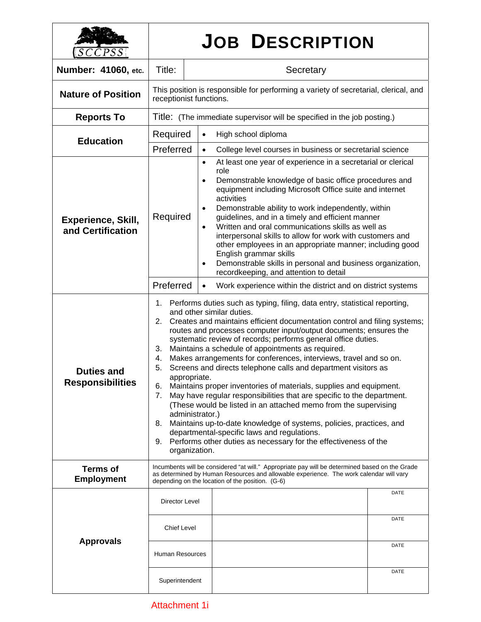| <i>SCCPSS</i>                                  | <b>JOB DESCRIPTION</b>                                                                                                                                                                                                                                                                                                                                                                                                                                                                                                                                                                                                                                                                                                                                                                                                                                                                                                                                                                                                                       |                                                                                                                                                                                                                                                                                                                                                                                                                                                                                                                                                                                                                                                                                                   |  |
|------------------------------------------------|----------------------------------------------------------------------------------------------------------------------------------------------------------------------------------------------------------------------------------------------------------------------------------------------------------------------------------------------------------------------------------------------------------------------------------------------------------------------------------------------------------------------------------------------------------------------------------------------------------------------------------------------------------------------------------------------------------------------------------------------------------------------------------------------------------------------------------------------------------------------------------------------------------------------------------------------------------------------------------------------------------------------------------------------|---------------------------------------------------------------------------------------------------------------------------------------------------------------------------------------------------------------------------------------------------------------------------------------------------------------------------------------------------------------------------------------------------------------------------------------------------------------------------------------------------------------------------------------------------------------------------------------------------------------------------------------------------------------------------------------------------|--|
| Number: 41060, etc.                            | Title:                                                                                                                                                                                                                                                                                                                                                                                                                                                                                                                                                                                                                                                                                                                                                                                                                                                                                                                                                                                                                                       | Secretary                                                                                                                                                                                                                                                                                                                                                                                                                                                                                                                                                                                                                                                                                         |  |
| <b>Nature of Position</b>                      | This position is responsible for performing a variety of secretarial, clerical, and<br>receptionist functions.                                                                                                                                                                                                                                                                                                                                                                                                                                                                                                                                                                                                                                                                                                                                                                                                                                                                                                                               |                                                                                                                                                                                                                                                                                                                                                                                                                                                                                                                                                                                                                                                                                                   |  |
| <b>Reports To</b>                              | Title: (The immediate supervisor will be specified in the job posting.)                                                                                                                                                                                                                                                                                                                                                                                                                                                                                                                                                                                                                                                                                                                                                                                                                                                                                                                                                                      |                                                                                                                                                                                                                                                                                                                                                                                                                                                                                                                                                                                                                                                                                                   |  |
| <b>Education</b>                               | Required                                                                                                                                                                                                                                                                                                                                                                                                                                                                                                                                                                                                                                                                                                                                                                                                                                                                                                                                                                                                                                     | High school diploma<br>$\bullet$                                                                                                                                                                                                                                                                                                                                                                                                                                                                                                                                                                                                                                                                  |  |
|                                                | Preferred                                                                                                                                                                                                                                                                                                                                                                                                                                                                                                                                                                                                                                                                                                                                                                                                                                                                                                                                                                                                                                    | College level courses in business or secretarial science<br>$\bullet$                                                                                                                                                                                                                                                                                                                                                                                                                                                                                                                                                                                                                             |  |
| <b>Experience, Skill,</b><br>and Certification | Required                                                                                                                                                                                                                                                                                                                                                                                                                                                                                                                                                                                                                                                                                                                                                                                                                                                                                                                                                                                                                                     | At least one year of experience in a secretarial or clerical<br>$\bullet$<br>role<br>Demonstrable knowledge of basic office procedures and<br>$\bullet$<br>equipment including Microsoft Office suite and internet<br>activities<br>Demonstrable ability to work independently, within<br>$\bullet$<br>guidelines, and in a timely and efficient manner<br>Written and oral communications skills as well as<br>$\bullet$<br>interpersonal skills to allow for work with customers and<br>other employees in an appropriate manner; including good<br>English grammar skills<br>Demonstrable skills in personal and business organization,<br>$\bullet$<br>recordkeeping, and attention to detail |  |
|                                                | Preferred                                                                                                                                                                                                                                                                                                                                                                                                                                                                                                                                                                                                                                                                                                                                                                                                                                                                                                                                                                                                                                    | Work experience within the district and on district systems<br>$\bullet$                                                                                                                                                                                                                                                                                                                                                                                                                                                                                                                                                                                                                          |  |
| <b>Duties and</b><br><b>Responsibilities</b>   | Performs duties such as typing, filing, data entry, statistical reporting,<br>1.<br>and other similar duties.<br>Creates and maintains efficient documentation control and filing systems;<br>2.<br>routes and processes computer input/output documents; ensures the<br>systematic review of records; performs general office duties.<br>Maintains a schedule of appointments as required.<br>3.<br>Makes arrangements for conferences, interviews, travel and so on.<br>4.<br>Screens and directs telephone calls and department visitors as<br>5.<br>appropriate.<br>6.<br>Maintains proper inventories of materials, supplies and equipment.<br>May have regular responsibilities that are specific to the department.<br>7.<br>(These would be listed in an attached memo from the supervising<br>administrator.)<br>Maintains up-to-date knowledge of systems, policies, practices, and<br>8.<br>departmental-specific laws and regulations.<br>Performs other duties as necessary for the effectiveness of the<br>9.<br>organization. |                                                                                                                                                                                                                                                                                                                                                                                                                                                                                                                                                                                                                                                                                                   |  |
| <b>Terms of</b><br><b>Employment</b>           | Incumbents will be considered "at will." Appropriate pay will be determined based on the Grade<br>as determined by Human Resources and allowable experience. The work calendar will vary<br>depending on the location of the position. (G-6)                                                                                                                                                                                                                                                                                                                                                                                                                                                                                                                                                                                                                                                                                                                                                                                                 |                                                                                                                                                                                                                                                                                                                                                                                                                                                                                                                                                                                                                                                                                                   |  |
| <b>Approvals</b>                               | Director Level                                                                                                                                                                                                                                                                                                                                                                                                                                                                                                                                                                                                                                                                                                                                                                                                                                                                                                                                                                                                                               | DATE                                                                                                                                                                                                                                                                                                                                                                                                                                                                                                                                                                                                                                                                                              |  |
|                                                | <b>Chief Level</b>                                                                                                                                                                                                                                                                                                                                                                                                                                                                                                                                                                                                                                                                                                                                                                                                                                                                                                                                                                                                                           | DATE                                                                                                                                                                                                                                                                                                                                                                                                                                                                                                                                                                                                                                                                                              |  |
|                                                | <b>Human Resources</b>                                                                                                                                                                                                                                                                                                                                                                                                                                                                                                                                                                                                                                                                                                                                                                                                                                                                                                                                                                                                                       | DATE                                                                                                                                                                                                                                                                                                                                                                                                                                                                                                                                                                                                                                                                                              |  |
|                                                | Superintendent                                                                                                                                                                                                                                                                                                                                                                                                                                                                                                                                                                                                                                                                                                                                                                                                                                                                                                                                                                                                                               | DATE                                                                                                                                                                                                                                                                                                                                                                                                                                                                                                                                                                                                                                                                                              |  |

## Attachment 1i